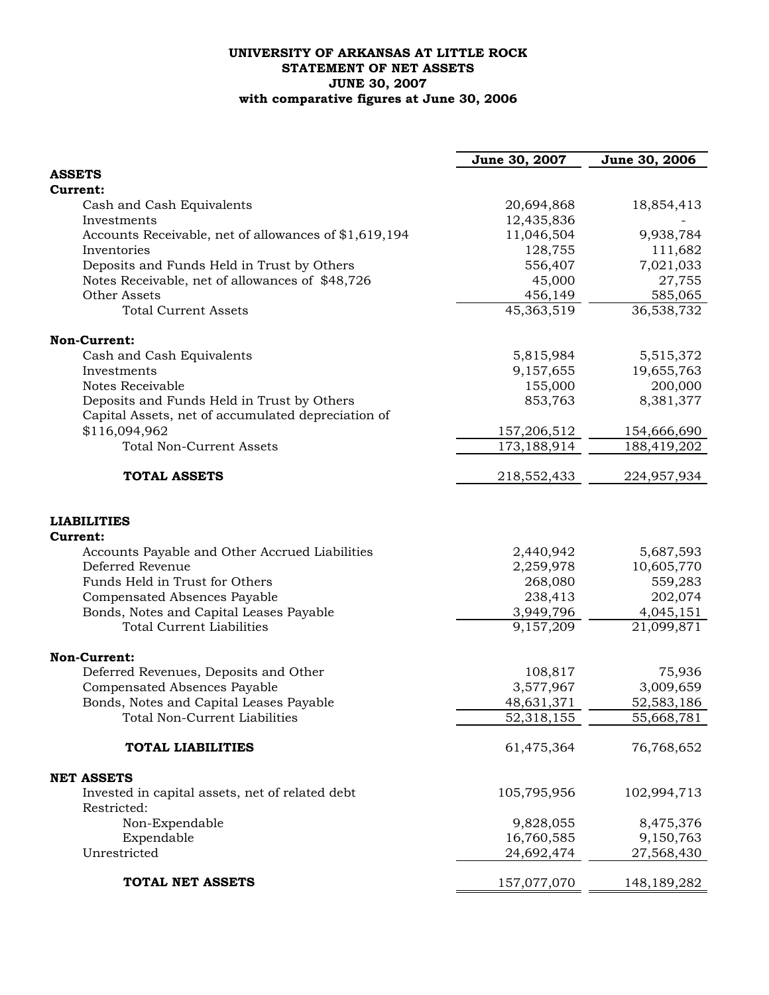## **UNIVERSITY OF ARKANSAS AT LITTLE ROCK STATEMENT OF NET ASSETS JUNE 30, 2007 with comparative figures at June 30, 2006**

|                                                       | June 30, 2007 | June 30, 2006 |
|-------------------------------------------------------|---------------|---------------|
| <b>ASSETS</b>                                         |               |               |
| Current:                                              |               |               |
| Cash and Cash Equivalents                             | 20,694,868    | 18,854,413    |
| Investments                                           | 12,435,836    |               |
| Accounts Receivable, net of allowances of \$1,619,194 | 11,046,504    | 9,938,784     |
| Inventories                                           | 128,755       | 111,682       |
| Deposits and Funds Held in Trust by Others            | 556,407       | 7,021,033     |
| Notes Receivable, net of allowances of \$48,726       | 45,000        | 27,755        |
| Other Assets                                          | 456,149       | 585,065       |
| <b>Total Current Assets</b>                           | 45,363,519    | 36,538,732    |
| Non-Current:                                          |               |               |
| Cash and Cash Equivalents                             | 5,815,984     | 5,515,372     |
| Investments                                           | 9,157,655     | 19,655,763    |
| Notes Receivable                                      | 155,000       | 200,000       |
| Deposits and Funds Held in Trust by Others            | 853,763       | 8,381,377     |
| Capital Assets, net of accumulated depreciation of    |               |               |
| \$116,094,962                                         | 157,206,512   | 154,666,690   |
| <b>Total Non-Current Assets</b>                       | 173,188,914   | 188,419,202   |
| <b>TOTAL ASSETS</b>                                   | 218,552,433   | 224,957,934   |
| <b>LIABILITIES</b><br><b>Current:</b>                 |               |               |
| Accounts Payable and Other Accrued Liabilities        | 2,440,942     | 5,687,593     |
| Deferred Revenue                                      | 2,259,978     | 10,605,770    |
| Funds Held in Trust for Others                        | 268,080       | 559,283       |
| <b>Compensated Absences Payable</b>                   | 238,413       | 202,074       |
| Bonds, Notes and Capital Leases Payable               | 3,949,796     | 4,045,151     |
| <b>Total Current Liabilities</b>                      | 9,157,209     | 21,099,871    |
| Non-Current:                                          |               |               |
| Deferred Revenues, Deposits and Other                 | 108,817       | 75,936        |
| Compensated Absences Payable                          | 3,577,967     | 3,009,659     |
| Bonds, Notes and Capital Leases Payable               | 48,631,371    | 52,583,186    |
| Total Non-Current Liabilities                         | 52,318,155    | 55,668,781    |
|                                                       |               |               |
| <b>TOTAL LIABILITIES</b>                              | 61,475,364    | 76,768,652    |
| <b>NET ASSETS</b>                                     |               |               |
| Invested in capital assets, net of related debt       | 105,795,956   | 102,994,713   |
| Restricted:                                           |               |               |
| Non-Expendable                                        | 9,828,055     | 8,475,376     |
| Expendable                                            | 16,760,585    | 9,150,763     |
| Unrestricted                                          | 24,692,474    | 27,568,430    |
| TOTAL NET ASSETS                                      | 157,077,070   | 148, 189, 282 |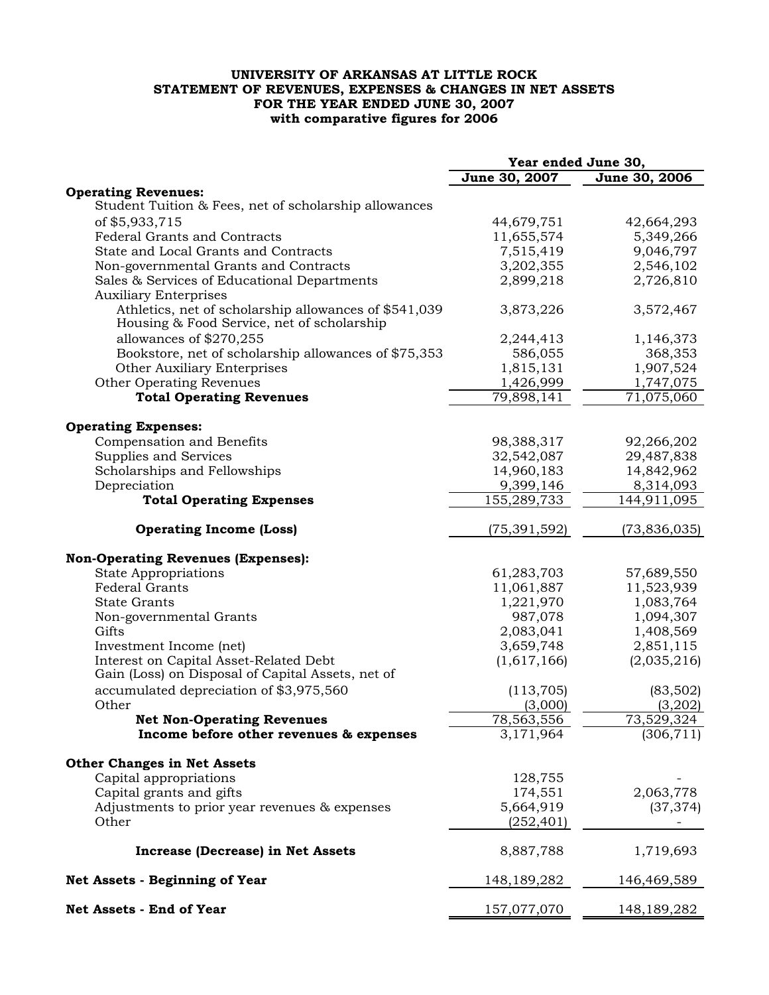## **UNIVERSITY OF ARKANSAS AT LITTLE ROCK STATEMENT OF REVENUES, EXPENSES & CHANGES IN NET ASSETS FOR THE YEAR ENDED JUNE 30, 2007 with comparative figures for 2006**

|                                                                                                     | Year ended June 30,  |                         |  |
|-----------------------------------------------------------------------------------------------------|----------------------|-------------------------|--|
|                                                                                                     | June 30, 2007        | June 30, 2006           |  |
| <b>Operating Revenues:</b>                                                                          |                      |                         |  |
| Student Tuition & Fees, net of scholarship allowances                                               |                      |                         |  |
| of \$5,933,715                                                                                      | 44,679,751           | 42,664,293              |  |
| <b>Federal Grants and Contracts</b>                                                                 | 11,655,574           | 5,349,266               |  |
| State and Local Grants and Contracts                                                                | 7,515,419            | 9,046,797               |  |
| Non-governmental Grants and Contracts                                                               | 3,202,355            | 2,546,102               |  |
| Sales & Services of Educational Departments                                                         | 2,899,218            | 2,726,810               |  |
| <b>Auxiliary Enterprises</b>                                                                        |                      |                         |  |
| Athletics, net of scholarship allowances of \$541,039<br>Housing & Food Service, net of scholarship | 3,873,226            | 3,572,467               |  |
|                                                                                                     |                      |                         |  |
| allowances of \$270,255                                                                             | 2,244,413            | 1,146,373<br>368,353    |  |
| Bookstore, net of scholarship allowances of \$75,353<br><b>Other Auxiliary Enterprises</b>          | 586,055<br>1,815,131 | 1,907,524               |  |
| Other Operating Revenues                                                                            | 1,426,999            | 1,747,075               |  |
| <b>Total Operating Revenues</b>                                                                     | 79,898,141           | $\overline{71,075,060}$ |  |
|                                                                                                     |                      |                         |  |
| <b>Operating Expenses:</b>                                                                          |                      |                         |  |
| Compensation and Benefits                                                                           | 98,388,317           | 92,266,202              |  |
| Supplies and Services                                                                               | 32,542,087           | 29,487,838              |  |
| Scholarships and Fellowships                                                                        | 14,960,183           | 14,842,962              |  |
| Depreciation                                                                                        | 9,399,146            | 8,314,093               |  |
| <b>Total Operating Expenses</b>                                                                     | 155,289,733          | 144,911,095             |  |
|                                                                                                     |                      |                         |  |
| <b>Operating Income (Loss)</b>                                                                      | (75, 391, 592)       | (73, 836, 035)          |  |
| <b>Non-Operating Revenues (Expenses):</b>                                                           |                      |                         |  |
| <b>State Appropriations</b>                                                                         | 61,283,703           | 57,689,550              |  |
| <b>Federal Grants</b>                                                                               | 11,061,887           | 11,523,939              |  |
| <b>State Grants</b>                                                                                 | 1,221,970            | 1,083,764               |  |
| Non-governmental Grants                                                                             | 987,078              | 1,094,307               |  |
| Gifts                                                                                               | 2,083,041            | 1,408,569               |  |
| Investment Income (net)                                                                             | 3,659,748            | 2,851,115               |  |
| Interest on Capital Asset-Related Debt                                                              | (1,617,166)          | (2,035,216)             |  |
| Gain (Loss) on Disposal of Capital Assets, net of                                                   |                      |                         |  |
| accumulated depreciation of \$3,975,560                                                             | (113, 705)           | (83, 502)               |  |
| Other                                                                                               | (3,000)              | (3,202)                 |  |
| <b>Net Non-Operating Revenues</b>                                                                   | 78,563,556           | 73,529,324              |  |
| Income before other revenues & expenses                                                             | 3,171,964            | (306, 711)              |  |
| <b>Other Changes in Net Assets</b>                                                                  |                      |                         |  |
| Capital appropriations                                                                              | 128,755              |                         |  |
| Capital grants and gifts                                                                            | 174,551              | 2,063,778               |  |
| Adjustments to prior year revenues & expenses                                                       | 5,664,919            | (37, 374)               |  |
| Other                                                                                               | (252, 401)           |                         |  |
| <b>Increase (Decrease) in Net Assets</b>                                                            | 8,887,788            | 1,719,693               |  |
| Net Assets - Beginning of Year                                                                      | 148, 189, 282        | 146,469,589             |  |
| Net Assets - End of Year                                                                            | 157,077,070          | 148,189,282             |  |